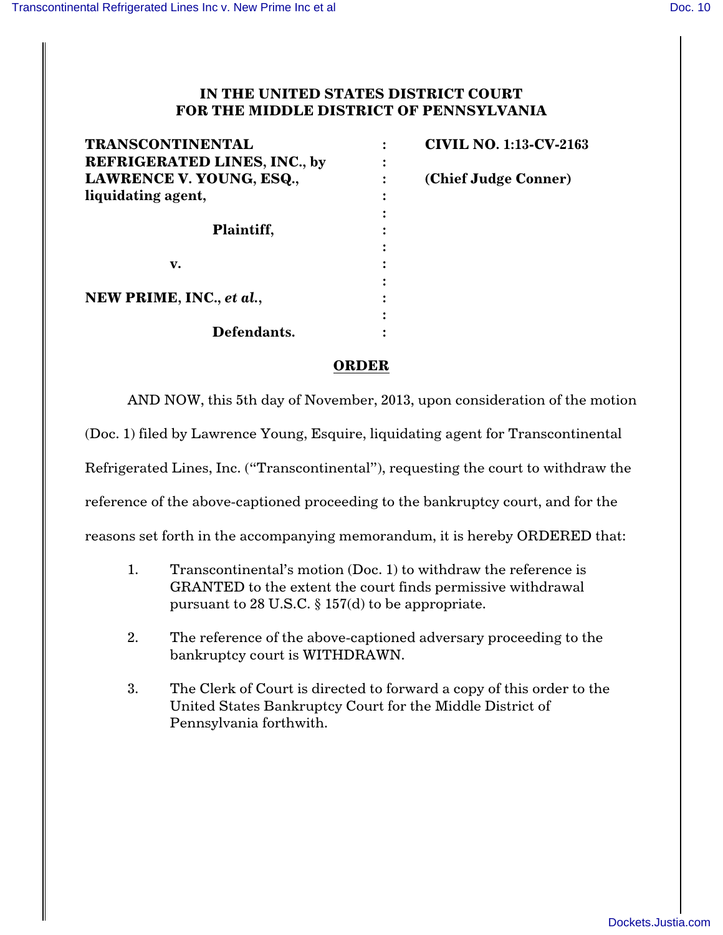## **IN THE UNITED STATES DISTRICT COURT FOR THE MIDDLE DISTRICT OF PENNSYLVANIA**

| <b>TRANSCONTINENTAL</b>             | <b>CIVIL NO. 1:13-CV-2163</b> |
|-------------------------------------|-------------------------------|
| <b>REFRIGERATED LINES, INC., by</b> |                               |
| LAWRENCE V. YOUNG, ESQ.,            | (Chief Judge Conner)          |
| liquidating agent,                  |                               |
|                                     |                               |
| Plaintiff,                          |                               |
|                                     |                               |
| v.                                  |                               |
|                                     |                               |
| NEW PRIME, INC., et al.,            |                               |
|                                     |                               |
| Defendants.                         |                               |

## **ORDER**

AND NOW, this 5th day of November, 2013, upon consideration of the motion

(Doc. 1) filed by Lawrence Young, Esquire, liquidating agent for Transcontinental

Refrigerated Lines, Inc. ("Transcontinental"), requesting the court to withdraw the

reference of the above-captioned proceeding to the bankruptcy court, and for the

reasons set forth in the accompanying memorandum, it is hereby ORDERED that:

- 1. Transcontinental's motion (Doc. 1) to withdraw the reference is GRANTED to the extent the court finds permissive withdrawal pursuant to 28 U.S.C. § 157(d) to be appropriate.
- 2. The reference of the above-captioned adversary proceeding to the bankruptcy court is WITHDRAWN.
- 3. The Clerk of Court is directed to forward a copy of this order to the United States Bankruptcy Court for the Middle District of Pennsylvania forthwith.